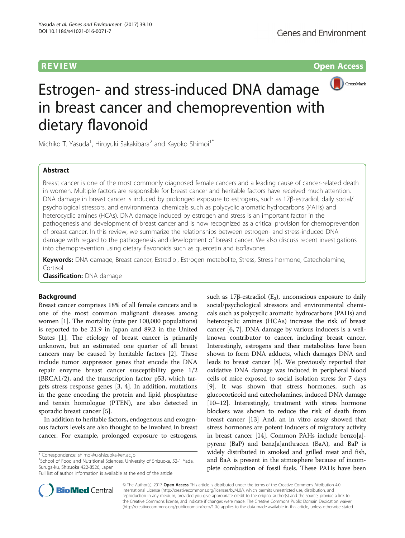**REVIEW CONSTRUCTION CONSTRUCTION CONSTRUCTS** 



# Estrogen- and stress-induced DNA damage in breast cancer and chemoprevention with dietary flavonoid

Michiko T. Yasuda<sup>1</sup>, Hiroyuki Sakakibara<sup>2</sup> and Kayoko Shimoi<sup>1\*</sup>

# Abstract

Breast cancer is one of the most commonly diagnosed female cancers and a leading cause of cancer-related death in women. Multiple factors are responsible for breast cancer and heritable factors have received much attention. DNA damage in breast cancer is induced by prolonged exposure to estrogens, such as 17β-estradiol, daily social/ psychological stressors, and environmental chemicals such as polycyclic aromatic hydrocarbons (PAHs) and heterocyclic amines (HCAs). DNA damage induced by estrogen and stress is an important factor in the pathogenesis and development of breast cancer and is now recognized as a critical provision for chemoprevention of breast cancer. In this review, we summarize the relationships between estrogen- and stress-induced DNA damage with regard to the pathogenesis and development of breast cancer. We also discuss recent investigations into chemoprevention using dietary flavonoids such as quercetin and isoflavones.

Keywords: DNA damage, Breast cancer, Estradiol, Estrogen metabolite, Stress, Stress hormone, Catecholamine, Cortisol

**Classification: DNA damage** 

# **Background**

Breast cancer comprises 18% of all female cancers and is one of the most common malignant diseases among women [\[1\]](#page-5-0). The mortality (rate per 100,000 populations) is reported to be 21.9 in Japan and 89.2 in the United States [\[1](#page-5-0)]. The etiology of breast cancer is primarily unknown, but an estimated one quarter of all breast cancers may be caused by heritable factors [\[2\]](#page-5-0). These include tumor suppressor genes that encode the DNA repair enzyme breast cancer susceptibility gene 1/2 (BRCA1/2), and the transcription factor p53, which targets stress response genes [\[3](#page-6-0), [4](#page-6-0)]. In addition, mutations in the gene encoding the protein and lipid phosphatase and tensin homologue (PTEN), are also detected in sporadic breast cancer [\[5](#page-6-0)].

In addition to heritable factors, endogenous and exogenous factors levels are also thought to be involved in breast cancer. For example, prolonged exposure to estrogens,

<sup>1</sup>School of Food and Nutritional Sciences, University of Shizuoka, 52-1 Yada, Suruga-ku, Shizuoka 422-8526, Japan

such as 17 $\beta$ -estradiol (E<sub>2</sub>), unconscious exposure to daily social/psychological stressors and environmental chemicals such as polycyclic aromatic hydrocarbons (PAHs) and heterocyclic amines (HCAs) increase the risk of breast cancer [\[6](#page-6-0), [7](#page-6-0)]. DNA damage by various inducers is a wellknown contributor to cancer, including breast cancer. Interestingly, estrogens and their metabolites have been shown to form DNA adducts, which damages DNA and leads to breast cancer [[8\]](#page-6-0). We previously reported that oxidative DNA damage was induced in peripheral blood cells of mice exposed to social isolation stress for 7 days [[9\]](#page-6-0). It was shown that stress hormones, such as glucocorticoid and catecholamines, induced DNA damage [[10](#page-6-0)–[12\]](#page-6-0). Interestingly, treatment with stress hormone blockers was shown to reduce the risk of death from breast cancer [\[13\]](#page-6-0) And, an in vitro assay showed that stress hormones are potent inducers of migratory activity in breast cancer [[14](#page-6-0)]. Common PAHs include benzo[a] pyrene (BaP) and benz[a]anthracen (BaA), and BaP is widely distributed in smoked and grilled meat and fish, and BaA is present in the atmosphere because of incomplete combustion of fossil fuels. These PAHs have been



© The Author(s). 2017 **Open Access** This article is distributed under the terms of the Creative Commons Attribution 4.0 International License [\(http://creativecommons.org/licenses/by/4.0/](http://creativecommons.org/licenses/by/4.0/)), which permits unrestricted use, distribution, and reproduction in any medium, provided you give appropriate credit to the original author(s) and the source, provide a link to the Creative Commons license, and indicate if changes were made. The Creative Commons Public Domain Dedication waiver [\(http://creativecommons.org/publicdomain/zero/1.0/](http://creativecommons.org/publicdomain/zero/1.0/)) applies to the data made available in this article, unless otherwise stated.

<sup>\*</sup> Correspondence: [shimoi@u-shizuoka-ken.ac.jp](mailto:shimoi@u-shizuoka-ken.ac.jp) <sup>1</sup>

Full list of author information is available at the end of the article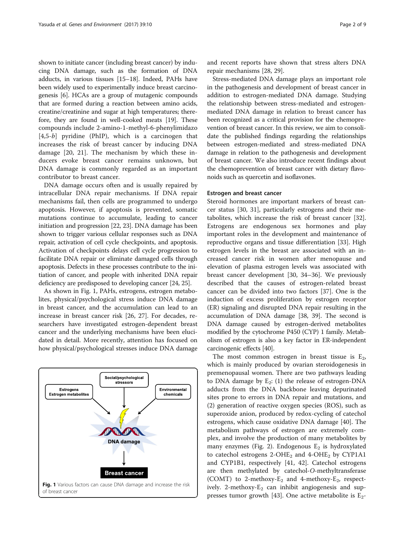<span id="page-1-0"></span>shown to initiate cancer (including breast cancer) by inducing DNA damage, such as the formation of DNA adducts, in various tissues [\[15](#page-6-0)–[18](#page-6-0)]. Indeed, PAHs have been widely used to experimentally induce breast carcinogenesis [\[6\]](#page-6-0). HCAs are a group of mutagenic compounds that are formed during a reaction between amino acids, creatine/creatinine and sugar at high temperatures; therefore, they are found in well-cooked meats [[19](#page-6-0)]. These compounds include 2-amino-1-methyl-6-phenylimidazo  $[4,5-b]$  pyridine (PhIP), which is a carcinogen that increases the risk of breast cancer by inducing DNA damage [[20, 21\]](#page-6-0). The mechanism by which these inducers evoke breast cancer remains unknown, but DNA damage is commonly regarded as an important contributor to breast cancer.

DNA damage occurs often and is usually repaired by intracellular DNA repair mechanisms. If DNA repair mechanisms fail, then cells are programmed to undergo apoptosis. However, if apoptosis is prevented, somatic mutations continue to accumulate, leading to cancer initiation and progression [\[22, 23](#page-6-0)]. DNA damage has been shown to trigger various cellular responses such as DNA repair, activation of cell cycle checkpoints, and apoptosis. Activation of checkpoints delays cell cycle progression to facilitate DNA repair or eliminate damaged cells through apoptosis. Defects in these processes contribute to the initiation of cancer, and people with inherited DNA repair deficiency are predisposed to developing cancer [[24](#page-6-0), [25\]](#page-6-0).

As shown in Fig. 1, PAHs, estrogens, estrogen metabolites, physical/psychological stress induce DNA damage in breast cancer, and the accumulation can lead to an increase in breast cancer risk [\[26](#page-6-0), [27](#page-6-0)]. For decades, researchers have investigated estrogen-dependent breast cancer and the underlying mechanisms have been elucidated in detail. More recently, attention has focused on how physical/psychological stresses induce DNA damage



and recent reports have shown that stress alters DNA repair mechanisms [\[28](#page-6-0), [29\]](#page-6-0).

Stress-mediated DNA damage plays an important role in the pathogenesis and development of breast cancer in addition to estrogen-mediated DNA damage. Studying the relationship between stress-mediated and estrogenmediated DNA damage in relation to breast cancer has been recognized as a critical provision for the chemoprevention of breast cancer. In this review, we aim to consolidate the published findings regarding the relationships between estrogen-mediated and stress-mediated DNA damage in relation to the pathogenesis and development of breast cancer. We also introduce recent findings about the chemoprevention of breast cancer with dietary flavonoids such as quercetin and isoflavones.

# Estrogen and breast cancer

Steroid hormones are important markers of breast cancer status [\[30, 31\]](#page-6-0), particularly estrogens and their metabolites, which increase the risk of breast cancer [\[32](#page-6-0)]. Estrogens are endogenous sex hormones and play important roles in the development and maintenance of reproductive organs and tissue differentiation [[33\]](#page-6-0). High estrogen levels in the breast are associated with an increased cancer risk in women after menopause and elevation of plasma estrogen levels was associated with breast cancer development [[30, 34](#page-6-0)–[36\]](#page-6-0). We previously described that the causes of estrogen-related breast cancer can be divided into two factors [[37\]](#page-6-0). One is the induction of excess proliferation by estrogen receptor (ER) signaling and disrupted DNA repair resulting in the accumulation of DNA damage [[38, 39](#page-6-0)]. The second is DNA damage caused by estrogen-derived metabolites modified by the cytochrome P450 (CYP) 1 family. Metabolism of estrogen is also a key factor in ER-independent carcinogenic effects [[40\]](#page-6-0).

The most common estrogen in breast tissue is  $E_2$ , which is mainly produced by ovarian steroidogenesis in premenopausal women. There are two pathways leading to DNA damage by  $E_2$ : (1) the release of estrogen-DNA adducts from the DNA backbone leaving depurinated sites prone to errors in DNA repair and mutations, and (2) generation of reactive oxygen species (ROS), such as superoxide anion, produced by redox-cycling of catechol estrogens, which cause oxidative DNA damage [\[40\]](#page-6-0). The metabolism pathways of estrogen are extremely complex, and involve the production of many metabolites by many enzymes (Fig. [2\)](#page-2-0). Endogenous  $E_2$  is hydroxylated to catechol estrogens 2-OH $E_2$  and 4-OH $E_2$  by CYP1A1 and CYP1B1, respectively [[41, 42\]](#page-6-0). Catechol estrogens are then methylated by catechol-O-methyltransferase (COMT) to 2-methoxy- $E_2$  and 4-methoxy- $E_2$ , respectively. 2-methoxy- $E_2$  can inhibit angiogenesis and sup-presses tumor growth [\[43\]](#page-6-0). One active metabolite is  $E_2$ -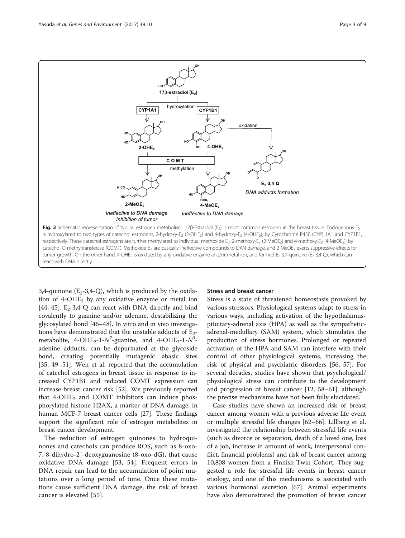<span id="page-2-0"></span>

3,4-quinone  $(E_2-3,4-Q)$ , which is produced by the oxidation of  $4$ -OHE<sub>2</sub> by any oxidative enzyme or metal ion [[44, 45\]](#page-6-0).  $E_2$ -3,4-Q can react with DNA directly and bind covalently to guanine and/or adenine, destabilizing the glycosylated bond [[46](#page-6-0)–[48](#page-6-0)]. In vitro and in vivo investigations have demonstrated that the unstable adducts of  $E_2$ metabolite, 4-OHE<sub>2</sub>-1- $N^7$ -guanine, and 4-OHE<sub>2</sub>-1- $N^3$ adenine adducts, can be depurinated at the glycoside bond, creating potentially mutagenic abasic sites [[35, 49](#page-6-0)–[51](#page-6-0)]. Wen et al. reported that the accumulation of catechol estrogens in breast tissue in response to increased CYP1B1 and reduced COMT expression can increase breast cancer risk [[52\]](#page-6-0). We previously reported that  $4$ -OHE<sub>2</sub> and COMT inhibitors can induce phosphorylated histone H2AX, a marker of DNA damage, in human MCF-7 breast cancer cells [\[27](#page-6-0)]. These findings support the significant role of estrogen metabolites in breast cancer development.

The reduction of estrogen quinones to hydroquinones and catechols can produce ROS, such as 8-oxo-7, 8-dihydro-2′-deoxyguanosine (8-oxo-dG), that cause oxidative DNA damage [[53, 54\]](#page-7-0). Frequent errors in DNA repair can lead to the accumulation of point mutations over a long period of time. Once these mutations cause sufficient DNA damage, the risk of breast cancer is elevated [[55\]](#page-7-0).

# Stress and breast cancer

Stress is a state of threatened homeostasis provoked by various stressors. Physiological systems adapt to stress in various ways, including activation of the hypothalamuspituitary-adrenal axis (HPA) as well as the sympatheticadrenal-medullary (SAM) system, which stimulates the production of stress hormones. Prolonged or repeated activation of the HPA and SAM can interfere with their control of other physiological systems, increasing the risk of physical and psychiatric disorders [\[56, 57\]](#page-7-0). For several decades, studies have shown that psychological/ physiological stress can contribute to the development and progression of breast cancer [\[12](#page-6-0), [58](#page-7-0)–[61](#page-7-0)], although the precise mechanisms have not been fully elucidated.

Case studies have shown an increased risk of breast cancer among women with a previous adverse life event or multiple stressful life changes [\[62](#page-7-0)–[66\]](#page-7-0). Lillberg et al. investigated the relationship between stressful life events (such as divorce or separation, death of a loved one, loss of a job, increase in amount of work, interpersonal conflict, financial problems) and risk of breast cancer among 10,808 women from a Finnish Twin Cohort. They suggested a role for stressful life events in breast cancer etiology, and one of this mechanisms is associated with various hormonal secretion [[67](#page-7-0)]. Animal experiments have also demonstrated the promotion of breast cancer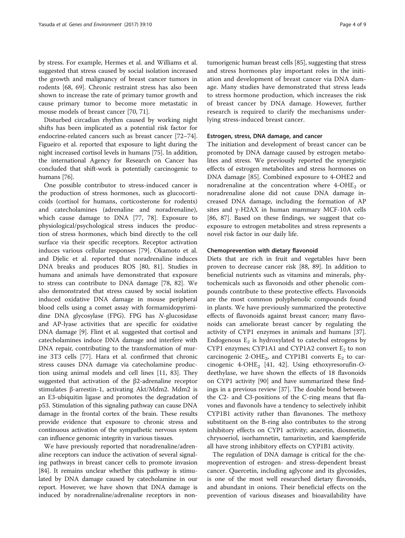by stress. For example, Hermes et al. and Williams et al. suggested that stress caused by social isolation increased the growth and malignancy of breast cancer tumors in rodents [[68, 69\]](#page-7-0). Chronic restraint stress has also been shown to increase the rate of primary tumor growth and cause primary tumor to become more metastatic in mouse models of breast cancer [\[70](#page-7-0), [71\]](#page-7-0).

Disturbed circadian rhythm caused by working night shifts has been implicated as a potential risk factor for endocrine-related cancers such as breast cancer [\[72](#page-7-0)–[74](#page-7-0)]. Figueiro et al. reported that exposure to light during the night increased cortisol levels in humans [\[75](#page-7-0)]. In addition, the international Agency for Research on Cancer has concluded that shift-work is potentially carcinogenic to humans [\[76\]](#page-7-0).

One possible contributor to stress-induced cancer is the production of stress hormones, such as glucocorticoids (cortisol for humans, corticosterone for rodents) and catecholamines (adrenaline and noradrenaline), which cause damage to DNA [[77, 78\]](#page-7-0). Exposure to physiological/psychological stress induces the production of stress hormones, which bind directly to the cell surface via their specific receptors. Receptor activation induces various cellular responses [\[79\]](#page-7-0). Okamoto et al. and Djelic et al. reported that noradrenaline induces DNA breaks and produces ROS [\[80](#page-7-0), [81\]](#page-7-0). Studies in humans and animals have demonstrated that exposure to stress can contribute to DNA damage [\[78, 82](#page-7-0)]. We also demonstrated that stress caused by social isolation induced oxidative DNA damage in mouse peripheral blood cells using a comet assay with formamidopyrimidine DNA glycosylase (FPG). FPG has N-glucosidase and AP-lyase activities that are specific for oxidative DNA damage [[9\]](#page-6-0). Flint et al. suggested that cortisol and catecholamines induce DNA damage and interfere with DNA repair, contributing to the transformation of murine 3T3 cells [[77\]](#page-7-0). Hara et al. confirmed that chronic stress causes DNA damage via catecholamine production using animal models and cell lines [[11,](#page-6-0) [83](#page-7-0)]. They suggested that activation of the β2-adrenaline receptor stimulates β-arrestin-1, activating Akt/Mdm2. Mdm2 is an E3-ubiquitin ligase and promotes the degradation of p53. Stimulation of this signaling pathway can cause DNA damage in the frontal cortex of the brain. These results provide evidence that exposure to chronic stress and continuous activation of the sympathetic nervous system can influence genomic integrity in various tissues.

We have previously reported that noradrenaline/adrenaline receptors can induce the activation of several signaling pathways in breast cancer cells to promote invasion [[84](#page-7-0)]. It remains unclear whether this pathway is stimulated by DNA damage caused by catecholamine in our report. However, we have shown that DNA damage is induced by noradrenaline/adrenaline receptors in nontumorigenic human breast cells [\[85](#page-7-0)], suggesting that stress and stress hormones play important roles in the initiation and development of breast cancer via DNA damage. Many studies have demonstrated that stress leads to stress hormone production, which increases the risk of breast cancer by DNA damage. However, further research is required to clarify the mechanisms underlying stress-induced breast cancer.

# Estrogen, stress, DNA damage, and cancer

The initiation and development of breast cancer can be promoted by DNA damage caused by estrogen metabolites and stress. We previously reported the synergistic effects of estrogen metabolites and stress hormones on DNA damage [\[85\]](#page-7-0). Combined exposure to 4-OHE2 and noradrenaline at the concentration where  $4$ -OHE<sub>2</sub> or noradrenaline alone did not cause DNA damage increased DNA damage, including the formation of AP sites and γ-H2AX in human mammary MCF-10A cells [[86, 87](#page-7-0)]. Based on these findings, we suggest that coexposure to estrogen metabolites and stress represents a novel risk factor in our daily life.

#### Chemoprevention with dietary flavonoid

Diets that are rich in fruit and vegetables have been proven to decrease cancer risk [\[88, 89](#page-7-0)]. In addition to beneficial nutrients such as vitamins and minerals, phytochemicals such as flavonoids and other phenolic compounds contribute to these protective effects. Flavonoids are the most common polyphenolic compounds found in plants. We have previously summarized the protective effects of flavonoids against breast cancer; many flavonoids can ameliorate breast cancer by regulating the activity of CYP1 enzymes in animals and humans [\[37](#page-6-0)]. Endogenous  $E_2$  is hydroxylated to catechol estrogens by CYP1 enzymes; CYP1A1 and CYP1A2 convert  $E_2$  to non carcinogenic 2-OHE<sub>2</sub>, and CYP1B1 converts  $E_2$  to car-cinogenic 4-OHE<sub>2</sub> [[41, 42](#page-6-0)]. Using ethoxyresorufin-Odeethylase, we have shown the effects of 18 flavonoids on CYP1 activity [\[90](#page-7-0)] and have summarized these findings in a previous review [[37\]](#page-6-0). The double bond between the C2- and C3-positions of the C-ring means that flavones and flavonols have a tendency to selectively inhibit CYP1B1 activity rather than flavanones. The methoxy substituent on the B-ring also contributes to the strong inhibitory effects on CYP1 activity; acacetin, diosmetin, chrysoeriol, isorhamnetin, tamarixetin, and kaempferide all have strong inhibitory effects on CYP1B1 activity.

The regulation of DNA damage is critical for the chemoprevention of estrogen- and stress-dependent breast cancer. Quercetin, including aglycone and its glycosides, is one of the most well researched dietary flavonoids, and abundant in onions. Their beneficial effects on the prevention of various diseases and bioavailability have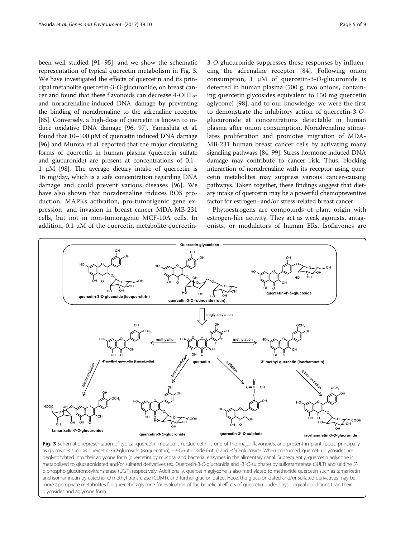<span id="page-4-0"></span>been well studied [[91](#page-7-0)–[95](#page-7-0)], and we show the schematic representation of typical quercetin metabolism in Fig. 3. We have investigated the effects of quercetin and its principal metabolite quercetin-3-O-glucuronide, on breast cancer and found that these flavonoids can decrease 4-OHE2 and noradrenaline-induced DNA damage by preventing the binding of noradrenaline to the adrenaline receptor [[85](#page-7-0)]. Conversely, a high-dose of quercetin is known to induce oxidative DNA damage [[96](#page-7-0), [97](#page-7-0)]. Yamashita et al. found that 10–100 μM of quercetin induced DNA damage [[96](#page-7-0)] and Murota et al. reported that the major circulating forms of quercetin in human plasma (quercetin sulfate and glucuronide) are present at concentrations of 0.1– 1 μM [[98](#page-7-0)]. The average dietary intake of quercetin is 16 mg/day, which is a safe concentration regarding DNA damage and could prevent various diseases [[96](#page-7-0)]. We have also shown that noradrenaline induces ROS production, MAPKs activation, pro-tumorigenic gene expression, and invasion in breast cancer MDA-MB-231 cells, but not in non-tumorigenic MCF-10A cells. In addition, 0.1 μM of the quercetin metabolite quercetin-

3-O-glucuronide suppresses these responses by influencing the adrenaline receptor [\[84](#page-7-0)]. Following onion consumption, 1 μM of quercetin-3-O-glucuronide is detected in human plasma (500 g, two onions, containing quercetin glycosides equivalent to 150 mg quercetin aglycone) [[98\]](#page-7-0), and to our knowledge, we were the first to demonstrate the inhibitory action of quercetin-3-Oglucuronide at concentrations detectable in human plasma after onion consumption. Noradrenaline stimulates proliferation and promotes migration of MDA-MB-231 human breast cancer cells by activating many signaling pathways [\[84](#page-7-0), [99](#page-7-0)]. Stress hormone-induced DNA damage may contribute to cancer risk. Thus, blocking interaction of noradrenaline with its receptor using quercetin metabolites may suppress various cancer-causing pathways. Taken together, these findings suggest that dietary intake of quercetin may be a powerful chemopreventive factor for estrogen- and/or stress-related breast cancer.

Phytoestrogens are compounds of plant origin with estrogen-like activity. They act as weak agonists, antagonists, or modulators of human ERs. Isoflavones are



Fig. 3 Schematic representation of typical quercetin metabolism. Quercetin is one of the major flavonoids, and present in plant foods, principally as glycosides such as quercetin-3-O-glucoside (isoquercitrin), −3-O-rutinoside (rutin) and -4′-O-glucoside. When consumed, quercetin glycosides are deglycosylated into their aglycone form (quercetin) by mucosal and bacterial enzymes in the alimentary canal. Subsequently, quercetin aglycone is metabolized to glucuronidated and/or sulfated derivatives (ex. Quercetin-3-O-glucronide and -3′-O-sulphate) by sulfotransferase (SULT) and uridine 5′ diphospho-glucuronosyltransferase (UGT), respectively. Additionally, quercetin aglycone is also methylated to methoxide quercetin such as tamarixetin and isorhamnetin by catechol-O-methyl transferase (COMT), and further glucronidated. Hece, the glucuronidated and/or sulfated derivatives may be more appropriate metabolites for quercetin aglycone for evaluation of the beneficial effects of quercetin under physiological conditions than their glycosides and aglycone form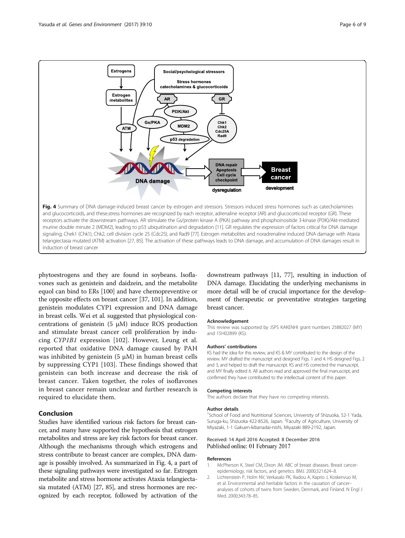<span id="page-5-0"></span>

phytoestrogens and they are found in soybeans. Isoflavones such as genistein and daidzein, and the metabolite equol can bind to ERs [\[100\]](#page-7-0) and have chemopreventive or the opposite effects on breast cancer [[37,](#page-6-0) [101\]](#page-8-0). In addition, genistein modulates CYP1 expression and DNA damage in breast cells. Wei et al. suggested that physiological concentrations of genistein  $(5 \mu M)$  induce ROS production and stimulate breast cancer cell proliferation by inducing CYP1B1 expression [[102\]](#page-8-0). However, Leung et al. reported that oxidative DNA damage caused by PAH was inhibited by genistein  $(5 \mu M)$  in human breast cells by suppressing CYP1 [[103\]](#page-8-0). These findings showed that genistein can both increase and decrease the risk of breast cancer. Taken together, the roles of isoflavones in breast cancer remain unclear and further research is required to elucidate them.

# Conclusion

Studies have identified various risk factors for breast cancer, and many have supported the hypothesis that estrogen metabolites and stress are key risk factors for breast cancer. Although the mechanisms through which estrogens and stress contribute to breast cancer are complex, DNA damage is possibly involved. As summarized in Fig. 4, a part of these signaling pathways were investigated so far. Estrogen metabolite and stress hormone activates Ataxia telangiectasia mutated (ATM) [\[27,](#page-6-0) [85\]](#page-7-0), and stress hormones are recognized by each receptor, followed by activation of the

downstream pathways [\[11](#page-6-0), [77\]](#page-7-0), resulting in induction of DNA damage. Elucidating the underlying mechanisms in more detail will be of crucial importance for the development of therapeutic or preventative strategies targeting breast cancer.

# Acknowledgement

This review was supported by JSPS KAKENHI grant numbers 25882027 (MY) and 15H02899 (KS).

#### Authors' contributions

KS had the idea for this review, and KS & MY contributed to the design of the review. MY drafted the manuscript and designed Figs. [1](#page-1-0) and 4. HS designed Figs. [2](#page-2-0) and [3,](#page-4-0) and helped to draft the manuscript. KS and HS corrected the manuscript, and MY finally edited it. All authors read and approved the final manuscript, and confirmed they have contributed to the intellectual content of this paper.

#### Competing interests

The authors declare that they have no competing interests.

#### Author details

<sup>1</sup>School of Food and Nutritional Sciences, University of Shizuoka, 52-1 Yada, Suruga-ku, Shizuoka 422-8526, Japan. <sup>2</sup> Faculty of Agriculture, University of Miyazaki, 1-1 Gakuen-kibanadai-nishi, Miyazaki 889-2192, Japan.

# Received: 14 April 2016 Accepted: 8 December 2016 Published online: 01 February 2017

# References

- 1. McPherson K, Steel CM, Dixon JM. ABC of breast diseases. Breast cancerepidemiology, risk factors, and genetics. BMJ. 2000;321:624–8.
- 2. Lichtenstein P, Holm NV, Verkasalo PK, Iliadou A, Kaprio J, Koskenvuo M, et al. Environmental and heritable factors in the causation of cancer– analyses of cohorts of twins from Sweden, Denmark, and Finland. N Engl J Med. 2000;343:78–85.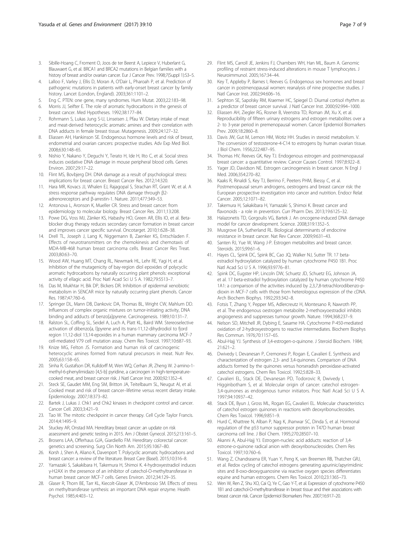- <span id="page-6-0"></span>3. Sibille-Hoang C, Froment O, Joos de ter Beerst A, Lepiece V, Huberlant G, Blauwaert G, et al. BRCA1 and BRCA2 mutations in Belgian families with a history of breast and/or ovarian cancer. Eur J Cancer Prev. 1998;7(Suppl 1):S3–5.
- 4. Lalloo F, Varley J, Ellis D, Moran A, O'Dair L, Pharoah P, et al. Prediction of pathogenic mutations in patients with early-onset breast cancer by family history. Lancet (London, England). 2003;361:1101–2.
- 5. Eng C. PTEN: one gene, many syndromes. Hum Mutat. 2003;22:183–98.
- 6. Morris JJ, Seifter E. The role of aromatic hydrocarbons in the genesis of breast cancer. Med Hypotheses. 1992;38:177–84.
- 7. Rohrmann S, Lukas Jung S-U, Linseisen J, Pfau W. Dietary intake of meat and meat-derived heterocyclic aromatic amines and their correlation with DNA adducts in female breast tissue. Mutagenesis. 2009;24:127–32.
- 8. Eliassen AH, Hankinson SE. Endogenous hormone levels and risk of breast, endometrial and ovarian cancers: prospective studies. Adv Exp Med Biol. 2008;630:148–65.
- Nishio Y, Nakano Y, Deguchi Y, Terato H, Ide H, Ilto C, et al. Social stress induces oxidative DNA damage in mouse peripheral blood cells. Genes Environ. 2007;29:17–22.
- 10. Flint MS, Bovbjerg DH. DNA damage as a result of psychological stress: implications for breast cancer. Breast Cancer Res. 2012;14:320.
- 11. Hara MR, Kovacs JJ, Whalen EJ, Rajagopal S, Strachan RT, Grant W, et al. A stress response pathway regulates DNA damage through β2 adrenoreceptors and β-arrestin-1. Nature. 2011;477:349–53.
- 12. Antonova L, Aronson K, Mueller CR. Stress and breast cancer: from epidemiology to molecular biology. Breast Cancer Res. 2011;13:208.
- 13. Powe DG, Voss MJ, Zänker KS, Habashy HO, Green AR, Ellis IO, et al. Betablocker drug therapy reduces secondary cancer formation in breast cancer and improves cancer specific survival. Oncotarget. 2010;1:628–38.
- 14. Drell TL, Joseph J, Lang K, Niggemann B, Zaenker KS, Entschladen F. Effects of neurotransmitters on the chemokinesis and chemotaxis of MDA-MB-468 human breast carcinoma cells. Breast Cancer Res Treat. 2003;80:63–70.
- 15. Wood AW, Huang MT, Chang RL, Newmark HL, Lehr RE, Yagi H, et al. Inhibition of the mutagenicity of bay-region diol epoxides of polycyclic aromatic hydrocarbons by naturally occurring plant phenols: exceptional activity of ellagic acid. Proc Natl Acad Sci U S A. 1982;79:5513–7.
- 16. Das M, Mukhtar H, Bik DP, Bickers DR. Inhibition of epidermal xenobiotic metabolism in SENCAR mice by naturally occurring plant phenols. Cancer Res. 1987;47:760–6.
- 17. Springer DL, Mann DB, Dankovic DA, Thomas BL, Wright CW, Mahlum DD. Influences of complex organic mixtures on tumor-initiating activity, DNA binding and adducts of benzo[a]pyrene. Carcinogenesis. 1989;10:131–7.
- 18. Ralston SL, Coffing SL, Seidel A, Luch A, Platt KL, Baird WM. Stereoselective activation of dibenzo[a, l]pyrene and its trans-11,12-dihydrodiol to fjord region 11,12-diol 13,14-epoxides in a human mammary carcinoma MCF-7 cell-mediated V79 cell mutation assay. Chem Res Toxicol. 1997;10:687–93.
- 19. Knize MG, Felton JS. Formation and human risk of carcinogenic heterocyclic amines formed from natural precursors in meat. Nutr Rev. 2005;63:158–65.
- 20. Sinha R, Gustafson DR, Kulldorff M, Wen WQ, Cerhan JR, Zheng W. 2-amino-1 methyl-6-phenylimidazo [4,5-b] pyridine, a carcinogen in high-temperaturecooked meat, and breast cancer risk. J Natl Cancer Inst. 2000;92:1352–4.
- 21. Steck SE, Gaudet MM, Eng SM, Britton JA, Teitelbaum SL, Neugut AI, et al. Cooked meat and risk of breast cancer–lifetime versus recent dietary intake. Epidemiology. 2007;18:373–82.
- 22. Bartek J, Lukas J. Chk1 and Chk2 kinases in checkpoint control and cancer. Cancer Cell. 2003;3:421–9.
- 23. Tao W. The mitotic checkpoint in cancer therapy. Cell Cycle Taylor Francis. 2014;4:1495–9.
- 24. Stuckey AR, Onstad MA. Hereditary breast cancer: an update on risk assessment and genetic testing in 2015. Am J Obstet Gynecol. 2015;213:161–5.
- 25. Brosens LAA, Offerhaus GJA, Giardiello FM. Hereditary colorectal cancer: genetics and screening. Surg Clin North Am. 2015;95:1067–80.
- 26. Korsh J, Shen A, Aliano K, Davenport T. Polycyclic aromatic hydrocarbons and breast cancer: a review of the literature. Breast Care (Basel). 2015;10:316–8.
- 27. Yamazaki S, Sakakibara H, Takemura H, Shimoi K. 4-hydroxyestradiol induces γ-H2AX in the presence of an inhibitor of catechol-O-methyltransferase in human breast cancer MCF-7 cells. Genes Environ. 2012;34:129–35.
- 28. Glaser R, Thorn BE, Tarr KL, Kiecolt-Glaser JK, D'Ambrosio SM. Effects of stress on methyltransferase synthesis: an important DNA repair enzyme. Health Psychol. 1985;4:403–12.
- 29. Flint MS, Carroll JE, Jenkins FJ, Chambers WH, Han ML, Baum A. Genomic profiling of restraint stress-induced alterations in mouse T lymphocytes. J Neuroimmunol. 2005;167:34–44.
- 30. Key T, Appleby P, Barnes I, Reeves G. Endogenous sex hormones and breast cancer in postmenopausal women: reanalysis of nine prospective studies. J Natl Cancer Inst. 2002;94:606–16.
- 31. Sephton SE, Sapolsky RM, Kraemer HC, Spiegel D. Diurnal cortisol rhythm as a predictor of breast cancer survival. J Natl Cancer Inst. 2000;92:994–1000.
- 32. Eliassen AH, Ziegler RG, Rosner B, Veenstra TD, Roman JM, Xu X, et al. Reproducibility of fifteen urinary estrogens and estrogen metabolites over a 2- to 3-year period in premenopausal women. Cancer Epidemiol Biomarkers Prev. 2009;18:2860–8.
- 33. Davis JW, Gut M, Lemon HM, Wotiz HH. Studies in steroid metabolism. V. The conversion of testosterone-4-C14 to estrogens by human ovarian tissue. J Biol Chem. 1956;222:487–95.
- 34. Thomas HV, Reeves GK, Key TJ. Endogenous estrogen and postmenopausal breast cancer: a quantitative review. Cancer Causes Control. 1997;8:922–8.
- 35. Yager JD, Davidson NE. Estrogen carcinogenesis in breast cancer. N Engl J Med. 2006;354:270–82.
- 36. Kaaks R, Rinaldi S, Key TJ, Berrino F, Peeters PHM, Biessy C, et al. Postmenopausal serum androgens, oestrogens and breast cancer risk: the European prospective investigation into cancer and nutrition. Endocr Relat Cancer. 2005;12:1071–82.
- 37. Takemura H, Sakakibara H, Yamazaki S, Shimoi K. Breast cancer and flavonoids - a role in prevention. Curr Pharm Des. 2013;19:6125-32.
- 38. Halazonetis TD, Gorgoulis VG, Bartek J. An oncogene-induced DNA damage model for cancer development. Science. 2008;319:1352–5.
- 39. Musgrove EA, Sutherland RL. Biological determinants of endocrine resistance in breast cancer. Nat Rev Cancer. 2009;9:631–43.
- 40. Santen RJ, Yue W, Wang J-P. Estrogen metabolites and breast cancer. Steroids. 2015;99:61–6.
- 41. Hayes CL, Spink DC, Spink BC, Cao JQ, Walker NJ, Sutter TR. 17 betaestradiol hydroxylation catalyzed by human cytochrome P450 1B1. Proc Natl Acad Sci U S A. 1996;93:9776–81.
- 42. Spink DC, Eugster HP, Lincoln DW, Schuetz JD, Schuetz EG, Johnson JA, et al. 17 beta-estradiol hydroxylation catalyzed by human cytochrome P450 1A1: a comparison of the activities induced by 2,3,7,8-tetrachlorodibenzo-pdioxin in MCF-7 cells with those from heterologous expression of the cDNA. Arch Biochem Biophys. 1992;293:342–8.
- 43. Fotsis T, Zhang Y, Pepper MS, Adlercreutz H, Montesano R, Nawroth PP, et al. The endogenous oestrogen metabolite 2-methoxyoestradiol inhibits angiogenesis and suppresses tumour growth. Nature. 1994;368:237–9.
- 44. Nelson SD, Mitchell JR, Dybing E, Sasame HA. Cytochrome P-450-mediated oxidation of 2-hydroxyestrogens to reactive intermediates. Biochem Biophys Res Commun. 1976;70:1157–65.
- 45. Abul-Hajj YJ. Synthesis of 3,4-estrogen-o-quinone. J Steroid Biochem. 1984; 21:621–2.
- 46. Dwivedy I, Devanesan P, Cremonesi P, Rogan E, Cavalieri E. Synthesis and characterization of estrogen 2,3- and 3,4-quinones. Comparison of DNA adducts formed by the quinones versus horseradish peroxidase-activated catechol estrogens. Chem Res Toxicol. 1992;5:828–33.
- 47. Cavalieri EL, Stack DE, Devanesan PD, Todorovic R, Dwivedy I, Higginbotham S, et al. Molecular origin of cancer: catechol estrogen-3,4-quinones as endogenous tumor initiators. Proc Natl Acad Sci U S A. 1997;94:10937–42.
- 48. Stack DE, Byun J, Gross ML, Rogan EG, Cavalieri EL. Molecular characteristics of catechol estrogen quinones in reactions with deoxyribonucleosides. Chem Res Toxicol. 1996;9:851–9.
- 49. Hurd C, Khattree N, Alban P, Nag K, Jhanwar SC, Dinda S, et al. Hormonal regulation of the p53 tumor suppressor protein in T47D human breast carcinoma cell line. J Biol Chem. 1995;270:28507–10.
- 50. Akanni A, Abul-Hajj YJ. Estrogen-nucleic acid adducts: reaction of 3,4 estrone-o-quinone radical anion with deoxyribonucleosides. Chem Res Toxicol. 1997;10:760–6.
- 51. Wang Z, Chandrasena ER, Yuan Y, Peng K, van Breemen RB, Thatcher GRJ, et al. Redox cycling of catechol estrogens generating apurinic/apyrimidinic sites and 8-oxo-deoxyguanosine via reactive oxygen species differentiates equine and human estrogens. Chem Res Toxicol. 2010;23:1365–73.
- 52. Wen W, Ren Z, Shu XO, Cai Q, Ye C, Gao Y-T, et al. Expression of cytochrome P450 1B1 and catechol-O-methyltransferase in breast tissue and their associations with breast cancer risk. Cancer Epidemiol Biomarkers Prev. 2007;16:917–20.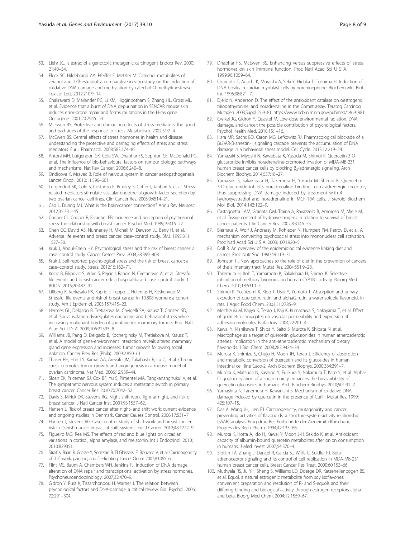- <span id="page-7-0"></span>53. Liehr JG. Is estradiol a genotoxic mutagenic carcinogen? Endocr Rev. 2000; 21:40–54.
- 54. Fleck SC, Hildebrand AA, Pfeiffer E, Metzler M. Catechol metabolites of zeranol and 17β-estradiol: a comparative in vitro study on the induction of oxidative DNA damage and methylation by catechol-O-methyltransferase. Toxicol Lett. 2012;210:9–14.
- 55. Chakravarti D, Mailander PC, Li KM, Higginbotham S, Zhang HL, Gross ML, et al. Evidence that a burst of DNA depurination in SENCAR mouse skin induces error-prone repair and forms mutations in the H-ras gene. Oncogene. 2001;20:7945–53.
- 56. McEwen BS. Protective and damaging effects of stress mediators: the good and bad sides of the response to stress. Metabolism. 2002;51:2–4.
- 57. McEwen BS. Central effects of stress hormones in health and disease: understanding the protective and damaging effects of stress and stress mediators. Eur J Pharmacol. 2008;583:174–85.
- 58. Antoni MH, Lutgendorf SK, Cole SW, Dhabhar FS, Sephton SE, McDonald PG, et al. The influence of bio-behavioural factors on tumour biology: pathways and mechanisms. Nat Rev Cancer. 2006;6:240–8.
- 59. Ondicova K, Mravec B. Role of nervous system in cancer aetiopathogenesis. Lancet Oncol. 2010;11:596–601.
- 60. Lutgendorf SK, Cole S, Costanzo E, Bradley S, Coffin J, Jabbari S, et al. Stressrelated mediators stimulate vascular endothelial growth factor secretion by two ovarian cancer cell lines. Clin Cancer Res. 2003;9:4514–21.
- 61. Cao L, During MJ. What is the brain-cancer connection? Annu Rev Neurosci. 2012;35:331–45.
- 62. Cooper CL, Cooper R, Faragher EB. Incidence and perception of psychosocial stress: the relationship with breast cancer. Psychol Med. 1989;19:415–22.
- 63. Chen CC, David AS, Nunnerley H, Michell M, Dawson JL, Berry H, et al. Adverse life events and breast cancer: case–control study. BMJ. 1995;311: 1527–30.
- 64. Kruk J, Aboul-Enein HY. Psychological stress and the risk of breast cancer: a case–control study. Cancer Detect Prev. 2004;28:399–408.
- 65. Kruk J. Self-reported psychological stress and the risk of breast cancer: a case–control study. Stress. 2012;15:162–71.
- 66. Kocic B, Filipovic S, Vrbic S, Pejcic I, Rancic N, Cvetanovic A, et al. Stressful life events and breast cancer risk: a hospital-based case–control study. J BUON. 2015;20:487–91.
- 67. Lillberg K, Verkasalo PK, Kaprio J, Teppo L, Helenius H, Koskenvuo M. Stressful life events and risk of breast cancer in 10,808 women: a cohort study. Am J Epidemiol. 2003;157:415–23.
- 68. Hermes GL, Delgado B, Tretiakova M, Cavigelli SA, Krausz T, Conzen SD, et al. Social isolation dysregulates endocrine and behavioral stress while increasing malignant burden of spontaneous mammary tumors. Proc Natl Acad Sci U S A. 2009;106:22393–8.
- 69. Williams JB, Pang D, Delgado B, Kocherginsky M, Tretiakova M, Krausz T, et al. A model of gene-environment interaction reveals altered mammary gland gene expression and increased tumor growth following social isolation. Cancer Prev Res (Phila). 2009;2:850–61.
- 70. Thaker PH, Han LY, Kamat AA, Arevalo JM, Takahashi R, Lu C, et al. Chronic stress promotes tumor growth and angiogenesis in a mouse model of ovarian carcinoma. Nat Med. 2006;12:939–44.
- 71. Sloan EK, Priceman SJ, Cox BF, Yu S, Pimentel MA, Tangkanangnukul V, et al. The sympathetic nervous system induces a metastatic switch in primary breast cancer. Cancer Res. 2010;70:7042–52.
- 72. Davis S, Mirick DK, Stevens RG. Night shift work, light at night, and risk of breast cancer. J Natl Cancer Inst. 2001;93:1557–62.
- 73. Hansen J. Risk of breast cancer after night- and shift work: current evidence and ongoing studies in Denmark. Cancer Causes Control. 2006;17:531–7.
- 74. Hansen J, Stevens RG. Case–control study of shift-work and breast cancer risk in Danish nurses: impact of shift systems. Eur J Cancer. 2012;48:1722–9.
- 75. Figueiro MG, Rea MS. The effects of red and blue lights on circadian variations in cortisol, alpha amylase, and melatonin. Int J Endocrinol. 2010; 2010:829351.
- 76. Straif K, Baan R, Grosse Y, Secretan B, El Ghissassi F, Bouvard V, et al. Carcinogenicity of shift-work, painting, and fire-fighting. Lancet Oncol. 2007;8:1065–6.
- 77. Flint MS, Baum A, Chambers WH, Jenkins FJ. Induction of DNA damage, alteration of DNA repair and transcriptional activation by stress hormones. Psychoneuroendocrinology. 2007;32:470–9.
- 78. Gidron Y, Russ K, Tissarchondou H, Warner J. The relation between psychological factors and DNA-damage: a critical review. Biol Psychol. 2006; 72:291–304.
- 79. Dhabhar FS, McEwen BS. Enhancing versus suppressive effects of stress hormones on skin immune function. Proc Natl Acad Sci U S A. 1999;96:1059–64.
- 80. Okamoto T, Adachi K, Muraishi A, Seki Y, Hidaka T, Toshima H. Induction of DNA breaks in cardiac myoblast cells by norepinephrine. Biochem Mol Biol Int. 1996;38:821–7.
- 81. Djelic N, Anderson D. The effect of the antioxidant catalase on oestrogens, triiodothyronine, and noradrenaline in the Comet assay. Teratog Carcinog Mutagen. 2003;Suppl 2:69–81.<https://www.ncbi.nlm.nih.gov/pubmed/14691981>.
- 82. Cwikel JG, Gidron Y, Quastel M. Low-dose environmental radiation, DNA damage, and cancer: the possible contribution of psychological factors. Psychol Health Med. 2010;15:1–16.
- 83. Hara MR, Sachs BD, Caron MG, Lefkowitz RJ. Pharmacological blockade of a β(2)AR-β-arrestin-1 signaling cascade prevents the accumulation of DNA damage in a behavioral stress model. Cell Cycle. 2013;12:219–24.
- 84. Yamazaki S, Miyoshi N, Kawabata K, Yasuda M, Shimoi K. Quercetin-3-Oglucuronide inhibits noradrenaline-promoted invasion of MDA-MB-231 human breast cancer cells by blocking β<sub>2</sub>-adrenergic signaling. Arch Biochem Biophys. 2014;557:18–27.
- 85. Yamazaki S, Sakakibara H, Takemura H, Yasuda M, Shimoi K. Quercetin-3-O-glucronide inhibits noradrenaline binding to α2-adrenergic receptor, thus suppressing DNA damage induced by treatment with 4 hydroxyestradiol and noradrenaline in MCF-10A cells. J Steroid Biochem Mol Biol. 2014;143:122–9.
- 86. Castagnetta LAM, Granata OM, Traina A, Ravazzolo B, Amoroso M, Miele M, et al. Tissue content of hydroxyestrogens in relation to survival of breast cancer patients. Clin Cancer Res. 2002;8:3146–55.
- 87. Bierhaus A, Wolf J, Andrassy M, Rohleder N, Humpert PM, Petrov D, et al. A mechanism converting psychosocial stress into mononuclear cell activation. Proc Natl Acad Sci U S A. 2003;100:1920–5.
- 88. Doll R. An overview of the epidemiological evidence linking diet and cancer. Proc Nutr Soc. 1990;49:119–31.
- 89. Johnson IT. New approaches to the role of diet in the prevention of cancers of the alimentary tract. Mutat Res. 2004;551:9–28.
- 90. Takemura H, Itoh T, Yamamoto K, Sakakibara H, Shimoi K. Selective inhibition of methoxyflavonoids on human CYP1B1 activity. Bioorg Med Chem. 2010;18:6310–5.
- 91. Shimoi K, Yoshizumi K, Kido T, Usui Y, Yumoto T. Absorption and urinary excretion of quercetin, rutin, and alphaG-rutin, a water soluble flavonoid, in rats. J Agric Food Chem. 2003;51:2785–9.
- 92. Mochizuki M, Kajiya K, Terao J, Kaji K, Kumazawa S, Nakayama T, et al. Effect of quercetin conjugates on vascular permeability and expression of adhesion molecules. Biofactors. 2004;22:201–4.
- 93. Kawai Y, Nishikawa T, Shiba Y, Saito S, Murota K, Shibata N, et al. Macrophage as a target of quercetin glucuronides in human atherosclerotic arteries: implication in the anti-atherosclerotic mechanism of dietary flavonoids. J Biol Chem. 2008;283:9424–34.
- 94. Murota K, Shimizu S, Chujo H, Moon JH, Terao J. Efficiency of absorption and metabolic conversion of quercetin and its glucosides in human intestinal cell line Caco-2. Arch Biochem Biophys. 2000;384:391–7.
- 95. Murota K, Matsuda N, Kashino Y, Fujikura Y, Nakamura T, Kato Y, et al. Alpha-Oligoglucosylation of a sugar moiety enhances the bioavailability of quercetin glucosides in humans. Arch Biochem Biophys. 2010;501:91–7.
- Yamashita N, Tanemura H, Kawanishi S. Mechanism of oxidative DNA damage induced by quercetin in the presence of Cu(II). Mutat Res. 1999; 425:107–15.
- 97. Das A, Wang JH, Lien EJ. Carcinogenicity, mutagenicity and cancer preventing activities of flavonoids: a structure-system-activity relationship (SSAR) analysis. Prog drug Res Fortschritte der Arzneimittelforschung Progrès des Rech Pharm. 1994;42:133–66.
- 98. Murota K, Hotta A, Ido H, Kawai Y, Moon J-H, Sekido K, et al. Antioxidant capacity of albumin-bound quercetin metabolites after onion consumption in humans. J Med Invest. 2007;54:370–4.
- 99. Slotkin TA, Zhang J, Dancel R, Garcia SJ, Willis C, Seidler FJ. Betaadrenoceptor signaling and its control of cell replication in MDA-MB-231 human breast cancer cells. Breast Cancer Res Treat. 2000;60:153–66.
- 100. Muthyala RS, Ju YH, Sheng S, Williams LD, Doerge DR, Katzenellenbogen BS, et al. Equol, a natural estrogenic metabolite from soy isoflavones: convenient preparation and resolution of R- and S-equols and their differing binding and biological activity through estrogen receptors alpha and beta. Bioorg Med Chem. 2004;12:1559–67.